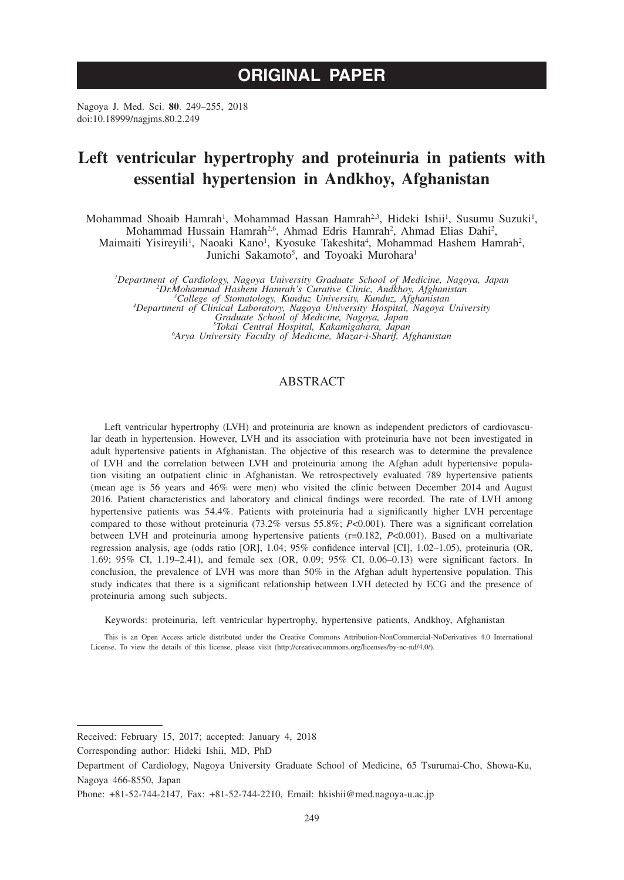# **ORIGINAL PAPER**

Nagoya J. Med. Sci. **80**. 249–255, 2018 doi:10.18999/nagjms.80.2.249

# **Left ventricular hypertrophy and proteinuria in patients with essential hypertension in Andkhoy, Afghanistan**

Mohammad Shoaib Hamrah<sup>1</sup>, Mohammad Hassan Hamrah<sup>2,3</sup>, Hideki Ishii<sup>1</sup>, Susumu Suzuki<sup>1</sup>, Mohammad Hussain Hamrah<sup>2,6</sup>, Ahmad Edris Hamrah<sup>2</sup>, Ahmad Elias Dahi<sup>2</sup>, Maimaiti Yisireyili<sup>1</sup>, Naoaki Kano<sup>1</sup>, Kyosuke Takeshita<sup>4</sup>, Mohammad Hashem Hamrah<sup>2</sup>,

Junichi Sakamoto<sup>5</sup>, and Toyoaki Murohara<sup>1</sup>

*1 Department of Cardiology, Nagoya University Graduate School of Medicine, Nagoya, Japan <sup>2</sup> Dr.Mohammad Hashem Hamrah's Curative Clinic, Andkhoy, Afghanistan <sup>3</sup>* <sup>3</sup>College of Stomatology, Kunduz University, Kunduz, Afghanistan<br>4Department of Clinical Laboratory, Nagoya University Hospital, Nagoya University<br>6 Graduate School of Medicine, Nagoya, Japan<br><sup>5</sup>Arva University Eaculty of *Arya University Faculty of Medicine, Mazar-i-Sharif, Afghanistan*

# ABSTRACT

Left ventricular hypertrophy (LVH) and proteinuria are known as independent predictors of cardiovascular death in hypertension. However, LVH and its association with proteinuria have not been investigated in adult hypertensive patients in Afghanistan. The objective of this research was to determine the prevalence of LVH and the correlation between LVH and proteinuria among the Afghan adult hypertensive population visiting an outpatient clinic in Afghanistan. We retrospectively evaluated 789 hypertensive patients (mean age is 56 years and 46% were men) who visited the clinic between December 2014 and August 2016. Patient characteristics and laboratory and clinical findings were recorded. The rate of LVH among hypertensive patients was 54.4%. Patients with proteinuria had a significantly higher LVH percentage compared to those without proteinuria (73.2% versus 55.8%; *P*<0.001). There was a significant correlation between LVH and proteinuria among hypertensive patients (r=0.182, *P*<0.001). Based on a multivariate regression analysis, age (odds ratio [OR], 1.04; 95% confidence interval [CI], 1.02–1.05), proteinuria (OR, 1.69; 95% CI, 1.19–2.41), and female sex (OR, 0.09; 95% CI, 0.06–0.13) were significant factors. In conclusion, the prevalence of LVH was more than 50% in the Afghan adult hypertensive population. This study indicates that there is a significant relationship between LVH detected by ECG and the presence of proteinuria among such subjects.

Keywords: proteinuria, left ventricular hypertrophy, hypertensive patients, Andkhoy, Afghanistan

This is an Open Access article distributed under the Creative Commons Attribution-NonCommercial-NoDerivatives 4.0 International License. To view the details of this license, please visit (http://creativecommons.org/licenses/by-nc-nd/4.0/).

Received: February 15, 2017; accepted: January 4, 2018

Corresponding author: Hideki Ishii, MD, PhD

Department of Cardiology, Nagoya University Graduate School of Medicine, 65 Tsurumai-Cho, Showa-Ku, Nagoya 466-8550, Japan

Phone: +81-52-744-2147, Fax: +81-52-744-2210, Email: hkishii@med.nagoya-u.ac.jp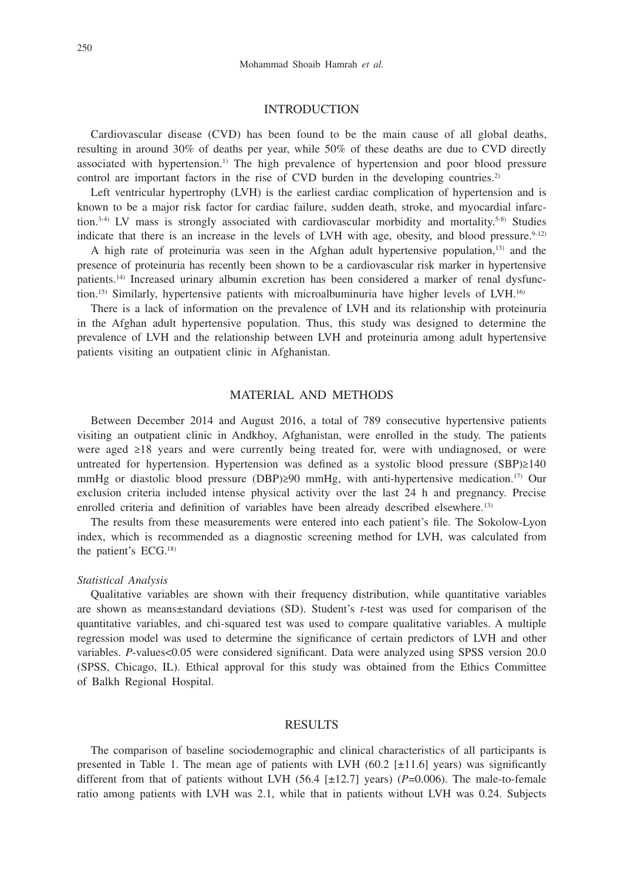### **INTRODUCTION**

Cardiovascular disease (CVD) has been found to be the main cause of all global deaths, resulting in around 30% of deaths per year, while 50% of these deaths are due to CVD directly associated with hypertension.1) The high prevalence of hypertension and poor blood pressure control are important factors in the rise of CVD burden in the developing countries.<sup>2)</sup>

Left ventricular hypertrophy (LVH) is the earliest cardiac complication of hypertension and is known to be a major risk factor for cardiac failure, sudden death, stroke, and myocardial infarction.<sup>3-4)</sup> LV mass is strongly associated with cardiovascular morbidity and mortality.<sup>5-8)</sup> Studies indicate that there is an increase in the levels of LVH with age, obesity, and blood pressure. $9-12$ )

A high rate of proteinuria was seen in the Afghan adult hypertensive population,<sup>13)</sup> and the presence of proteinuria has recently been shown to be a cardiovascular risk marker in hypertensive patients.14) Increased urinary albumin excretion has been considered a marker of renal dysfunction.<sup>15)</sup> Similarly, hypertensive patients with microalbuminuria have higher levels of LVH.<sup>16)</sup>

There is a lack of information on the prevalence of LVH and its relationship with proteinuria in the Afghan adult hypertensive population. Thus, this study was designed to determine the prevalence of LVH and the relationship between LVH and proteinuria among adult hypertensive patients visiting an outpatient clinic in Afghanistan.

## MATERIAL AND METHODS

Between December 2014 and August 2016, a total of 789 consecutive hypertensive patients visiting an outpatient clinic in Andkhoy, Afghanistan, were enrolled in the study. The patients were aged ≥18 years and were currently being treated for, were with undiagnosed, or were untreated for hypertension. Hypertension was defined as a systolic blood pressure (SBP)≥140 mmHg or diastolic blood pressure (DBP)≥90 mmHg, with anti-hypertensive medication.17) Our exclusion criteria included intense physical activity over the last 24 h and pregnancy. Precise enrolled criteria and definition of variables have been already described elsewhere.<sup>13)</sup>

The results from these measurements were entered into each patient's file. The Sokolow-Lyon index, which is recommended as a diagnostic screening method for LVH, was calculated from the patient's ECG.18)

#### *Statistical Analysis*

Qualitative variables are shown with their frequency distribution, while quantitative variables are shown as means±standard deviations (SD). Student's *t*-test was used for comparison of the quantitative variables, and chi-squared test was used to compare qualitative variables. A multiple regression model was used to determine the significance of certain predictors of LVH and other variables. *P*-values<0.05 were considered significant. Data were analyzed using SPSS version 20.0 (SPSS, Chicago, IL). Ethical approval for this study was obtained from the Ethics Committee of Balkh Regional Hospital.

#### RESULTS

The comparison of baseline sociodemographic and clinical characteristics of all participants is presented in Table 1. The mean age of patients with LVH  $(60.2 \pm 11.6)$  years) was significantly different from that of patients without LVH (56.4 [±12.7] years) (*P*=0.006). The male-to-female ratio among patients with LVH was 2.1, while that in patients without LVH was 0.24. Subjects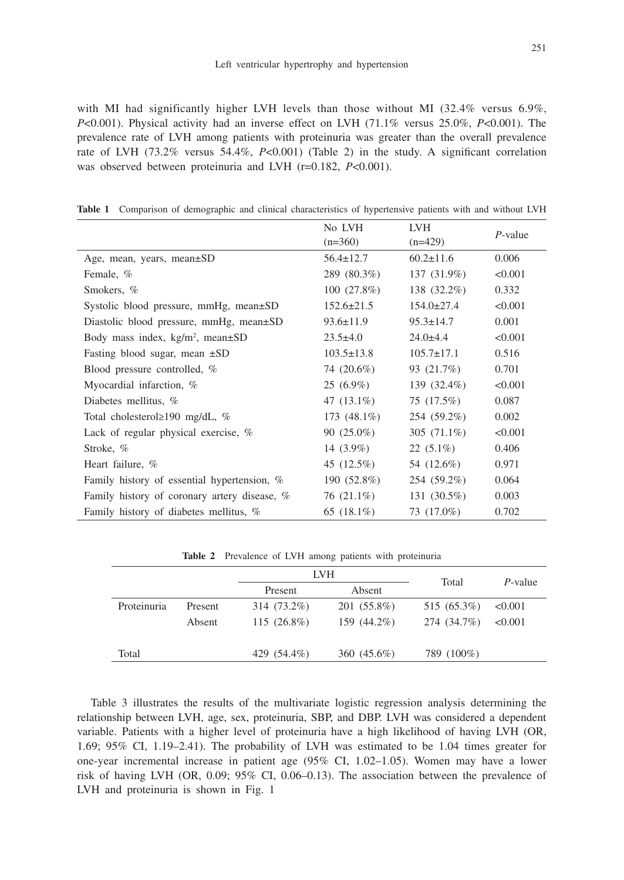with MI had significantly higher LVH levels than those without MI  $(32.4\%$  versus 6.9%, *P*<0.001). Physical activity had an inverse effect on LVH (71.1% versus 25.0%, *P*<0.001). The prevalence rate of LVH among patients with proteinuria was greater than the overall prevalence rate of LVH (73.2% versus 54.4%, *P*<0.001) (Table 2) in the study. A significant correlation was observed between proteinuria and LVH (r=0.182, *P*<0.001).

|  |  | Table 1 Comparison of demographic and clinical characteristics of hypertensive patients with and without LVH |  |  |  |  |  |  |  |  |
|--|--|--------------------------------------------------------------------------------------------------------------|--|--|--|--|--|--|--|--|
|--|--|--------------------------------------------------------------------------------------------------------------|--|--|--|--|--|--|--|--|

|                                               | No LVH           | LVH              | $P$ -value |  |
|-----------------------------------------------|------------------|------------------|------------|--|
|                                               | $(n=360)$        | $(n=429)$        |            |  |
| Age, mean, years, mean±SD                     | $56.4 \pm 12.7$  | $60.2 \pm 11.6$  | 0.006      |  |
| Female, %                                     | 289 (80.3%)      | 137 (31.9%)      | < 0.001    |  |
| Smokers, %                                    | $100(27.8\%)$    | 138 (32.2%)      | 0.332      |  |
| Systolic blood pressure, mmHg, mean±SD        | $152.6 \pm 21.5$ | $154.0 \pm 27.4$ | < 0.001    |  |
| Diastolic blood pressure, mmHg, mean±SD       | $93.6 \pm 11.9$  | $95.3 \pm 14.7$  | 0.001      |  |
| Body mass index, $kg/m^2$ , mean $\pm SD$     | $23.5 \pm 4.0$   | $24.0 \pm 4.4$   | < 0.001    |  |
| Fasting blood sugar, mean $\pm SD$            | $103.5 \pm 13.8$ | $105.7 \pm 17.1$ | 0.516      |  |
| Blood pressure controlled, %                  | 74 (20.6%)       | 93 (21.7%)       | 0.701      |  |
| Myocardial infarction, %                      | $25(6.9\%)$      | 139 (32.4%)      | < 0.001    |  |
| Diabetes mellitus, %                          | 47 $(13.1\%)$    | 75 (17.5%)       | 0.087      |  |
| Total cholesterol $\geq$ 190 mg/dL, %         | 173 $(48.1\%)$   | 254 (59.2%)      | 0.002      |  |
| Lack of regular physical exercise, $%$        | $90(25.0\%)$     | 305 $(71.1\%)$   | < 0.001    |  |
| Stroke, %                                     | 14 $(3.9\%)$     | $22(5.1\%)$      | 0.406      |  |
| Heart failure, %                              | 45 (12.5%)       | 54 (12.6%)       | 0.971      |  |
| Family history of essential hypertension, $%$ | 190 (52.8%)      | 254 (59.2%)      | 0.064      |  |
| Family history of coronary artery disease, %  | 76 (21.1%)       | 131 (30.5%)      | 0.003      |  |
| Family history of diabetes mellitus, %        | 65 $(18.1\%)$    | 73 (17.0%)       | 0.702      |  |

|  | Table 2 Prevalence of LVH among patients with proteinuria |  |  |  |  |  |  |
|--|-----------------------------------------------------------|--|--|--|--|--|--|
|--|-----------------------------------------------------------|--|--|--|--|--|--|

|             |         |                | <b>LVH</b>    | Total       | $P$ -value |  |
|-------------|---------|----------------|---------------|-------------|------------|--|
|             |         | Present        | Absent        |             |            |  |
| Proteinuria | Present | 314 (73.2%)    | 201 (55.8%)   | 515 (65.3%) | < 0.001    |  |
|             | Absent  | 115 $(26.8\%)$ | 159 (44.2%)   | 274 (34.7%) | < 0.001    |  |
|             |         |                |               |             |            |  |
| Total       |         | 429 (54.4%)    | $360(45.6\%)$ | 789 (100%)  |            |  |

Table 3 illustrates the results of the multivariate logistic regression analysis determining the relationship between LVH, age, sex, proteinuria, SBP, and DBP. LVH was considered a dependent variable. Patients with a higher level of proteinuria have a high likelihood of having LVH (OR, 1.69; 95% CI, 1.19–2.41). The probability of LVH was estimated to be 1.04 times greater for one-year incremental increase in patient age (95% CI, 1.02–1.05). Women may have a lower risk of having LVH (OR, 0.09; 95% CI, 0.06–0.13). The association between the prevalence of LVH and proteinuria is shown in Fig. 1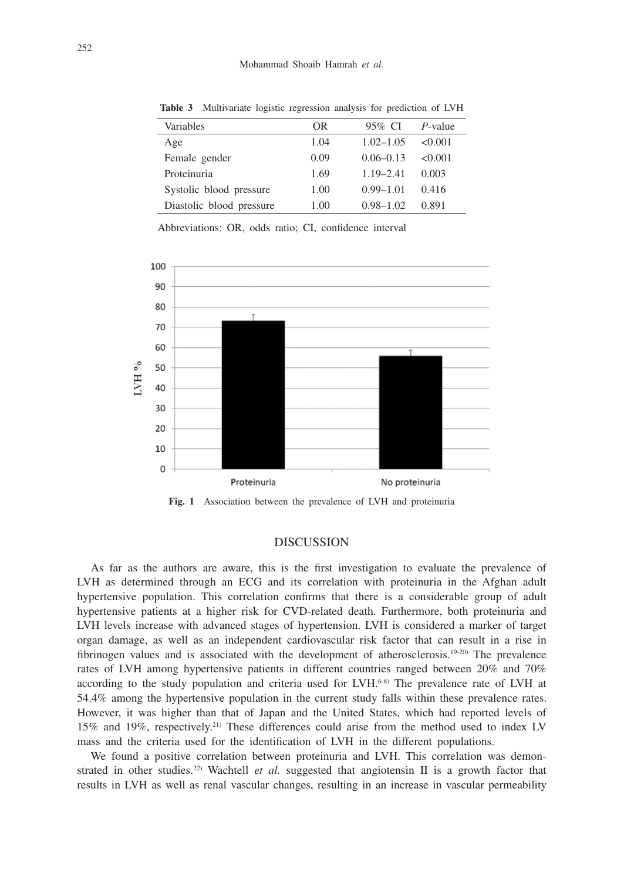| Variables                | OR   | 95% CI        | P-value |
|--------------------------|------|---------------|---------|
| Age                      | 1.04 | $1.02 - 1.05$ | <0.001  |
| Female gender            | 0.09 | $0.06 - 0.13$ | <0.001  |
| Proteinuria              | 1.69 | $1.19 - 2.41$ | 0.003   |
| Systolic blood pressure  | 1.00 | $0.99 - 1.01$ | 0.416   |
| Diastolic blood pressure | 1.00 | $0.98 - 1.02$ | 0.891   |

**Table 3** Multivariate logistic regression analysis for prediction of LVH

Abbreviations: OR, odds ratio; CI, confidence interval



**Fig. 1** Association between the prevalence of LVH and proteinuria

## **DISCUSSION**

As far as the authors are aware, this is the first investigation to evaluate the prevalence of LVH as determined through an ECG and its correlation with proteinuria in the Afghan adult hypertensive population. This correlation confirms that there is a considerable group of adult hypertensive patients at a higher risk for CVD-related death. Furthermore, both proteinuria and LVH levels increase with advanced stages of hypertension. LVH is considered a marker of target organ damage, as well as an independent cardiovascular risk factor that can result in a rise in fibrinogen values and is associated with the development of atherosclerosis.<sup>19-20)</sup> The prevalence rates of LVH among hypertensive patients in different countries ranged between 20% and 70% according to the study population and criteria used for  $LWH$ .<sup>6-8)</sup> The prevalence rate of LVH at 54.4% among the hypertensive population in the current study falls within these prevalence rates. However, it was higher than that of Japan and the United States, which had reported levels of 15% and 19%, respectively.21) These differences could arise from the method used to index LV mass and the criteria used for the identification of LVH in the different populations.

We found a positive correlation between proteinuria and LVH. This correlation was demonstrated in other studies.<sup>22)</sup> Wachtell *et al.* suggested that angiotensin II is a growth factor that results in LVH as well as renal vascular changes, resulting in an increase in vascular permeability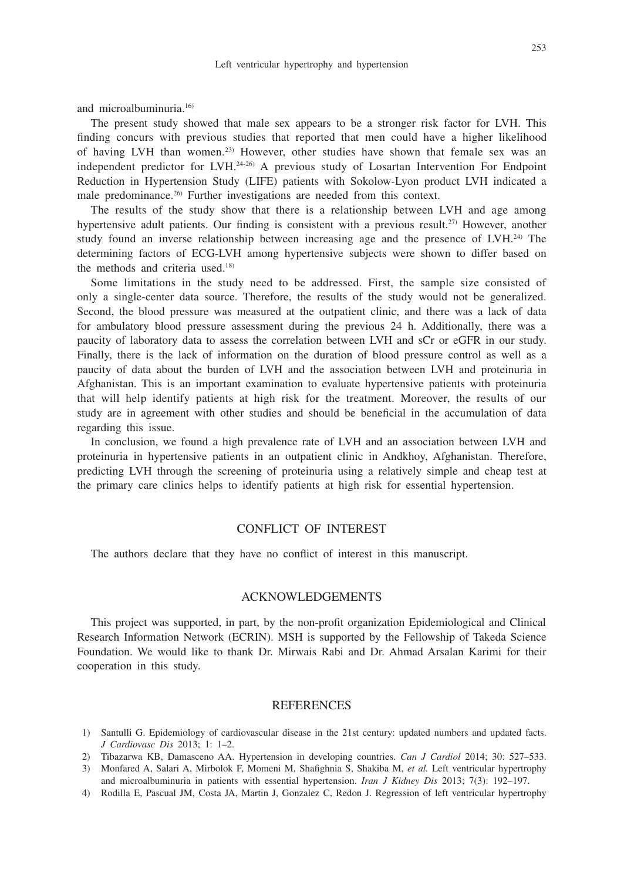and microalbuminuria.16)

The present study showed that male sex appears to be a stronger risk factor for LVH. This finding concurs with previous studies that reported that men could have a higher likelihood of having LVH than women.23) However, other studies have shown that female sex was an independent predictor for LVH.24-26) A previous study of Losartan Intervention For Endpoint Reduction in Hypertension Study (LIFE) patients with Sokolow-Lyon product LVH indicated a male predominance.26) Further investigations are needed from this context.

The results of the study show that there is a relationship between LVH and age among hypertensive adult patients. Our finding is consistent with a previous result.<sup>27)</sup> However, another study found an inverse relationship between increasing age and the presence of  $L V H$ .<sup>24)</sup> The determining factors of ECG-LVH among hypertensive subjects were shown to differ based on the methods and criteria used.<sup>18)</sup>

Some limitations in the study need to be addressed. First, the sample size consisted of only a single-center data source. Therefore, the results of the study would not be generalized. Second, the blood pressure was measured at the outpatient clinic, and there was a lack of data for ambulatory blood pressure assessment during the previous 24 h. Additionally, there was a paucity of laboratory data to assess the correlation between LVH and sCr or eGFR in our study. Finally, there is the lack of information on the duration of blood pressure control as well as a paucity of data about the burden of LVH and the association between LVH and proteinuria in Afghanistan. This is an important examination to evaluate hypertensive patients with proteinuria that will help identify patients at high risk for the treatment. Moreover, the results of our study are in agreement with other studies and should be beneficial in the accumulation of data regarding this issue.

In conclusion, we found a high prevalence rate of LVH and an association between LVH and proteinuria in hypertensive patients in an outpatient clinic in Andkhoy, Afghanistan. Therefore, predicting LVH through the screening of proteinuria using a relatively simple and cheap test at the primary care clinics helps to identify patients at high risk for essential hypertension.

## CONFLICT OF INTEREST

The authors declare that they have no conflict of interest in this manuscript.

## ACKNOWLEDGEMENTS

This project was supported, in part, by the non-profit organization Epidemiological and Clinical Research Information Network (ECRIN). MSH is supported by the Fellowship of Takeda Science Foundation. We would like to thank Dr. Mirwais Rabi and Dr. Ahmad Arsalan Karimi for their cooperation in this study.

### REFERENCES

- 1) Santulli G. Epidemiology of cardiovascular disease in the 21st century: updated numbers and updated facts. *J Cardiovasc Dis* 2013; 1: 1–2.
- 2) Tibazarwa KB, Damasceno AA. Hypertension in developing countries. *Can J Cardiol* 2014; 30: 527–533.
- 3) Monfared A, Salari A, Mirbolok F, Momeni M, Shafighnia S, Shakiba M, *et al.* Left ventricular hypertrophy and microalbuminuria in patients with essential hypertension. *Iran J Kidney Dis* 2013; 7(3): 192–197.
- 4) Rodilla E, Pascual JM, Costa JA, Martin J, Gonzalez C, Redon J. Regression of left ventricular hypertrophy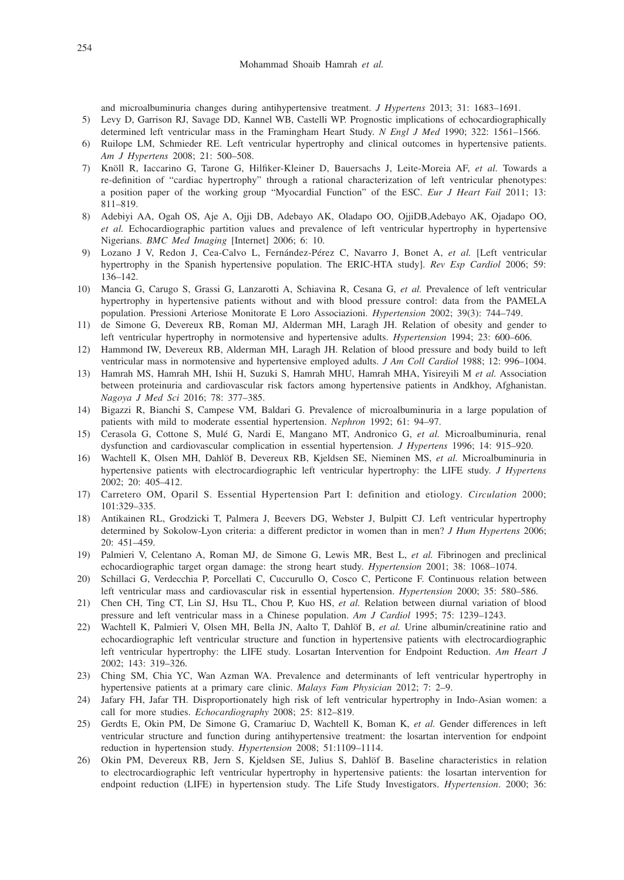and microalbuminuria changes during antihypertensive treatment. *J Hypertens* 2013; 31: 1683–1691.

- 5) Levy D, Garrison RJ, Savage DD, Kannel WB, Castelli WP. Prognostic implications of echocardiographically determined left ventricular mass in the Framingham Heart Study. *N Engl J Med* 1990; 322: 1561–1566.
- 6) Ruilope LM, Schmieder RE. Left ventricular hypertrophy and clinical outcomes in hypertensive patients. *Am J Hypertens* 2008; 21: 500–508.
- 7) Knöll R, Iaccarino G, Tarone G, Hilfiker-Kleiner D, Bauersachs J, Leite-Moreia AF, *et al.* Towards a re-definition of "cardiac hypertrophy" through a rational characterization of left ventricular phenotypes: a position paper of the working group "Myocardial Function" of the ESC. *Eur J Heart Fail* 2011; 13: 811–819.
- 8) Adebiyi AA, Ogah OS, Aje A, Ojji DB, Adebayo AK, Oladapo OO, OjjiDB,Adebayo AK, Ojadapo OO, *et al.* Echocardiographic partition values and prevalence of left ventricular hypertrophy in hypertensive Nigerians. *BMC Med Imaging* [Internet] 2006; 6: 10.
- 9) Lozano J V, Redon J, Cea-Calvo L, Fernández-Pérez C, Navarro J, Bonet A, *et al.* [Left ventricular hypertrophy in the Spanish hypertensive population. The ERIC-HTA study]. *Rev Esp Cardiol* 2006; 59: 136–142.
- 10) Mancia G, Carugo S, Grassi G, Lanzarotti A, Schiavina R, Cesana G, *et al.* Prevalence of left ventricular hypertrophy in hypertensive patients without and with blood pressure control: data from the PAMELA population. Pressioni Arteriose Monitorate E Loro Associazioni. *Hypertension* 2002; 39(3): 744–749.
- 11) de Simone G, Devereux RB, Roman MJ, Alderman MH, Laragh JH. Relation of obesity and gender to left ventricular hypertrophy in normotensive and hypertensive adults. *Hypertension* 1994; 23: 600–606.
- 12) Hammond IW, Devereux RB, Alderman MH, Laragh JH. Relation of blood pressure and body build to left ventricular mass in normotensive and hypertensive employed adults. *J Am Coll Cardiol* 1988; 12: 996–1004.
- 13) Hamrah MS, Hamrah MH, Ishii H, Suzuki S, Hamrah MHU, Hamrah MHA, Yisireyili M *et al.* Association between proteinuria and cardiovascular risk factors among hypertensive patients in Andkhoy, Afghanistan. *Nagoya J Med Sci* 2016; 78: 377–385.
- 14) Bigazzi R, Bianchi S, Campese VM, Baldari G. Prevalence of microalbuminuria in a large population of patients with mild to moderate essential hypertension. *Nephron* 1992; 61: 94–97.
- 15) Cerasola G, Cottone S, Mulé G, Nardi E, Mangano MT, Andronico G, *et al.* Microalbuminuria, renal dysfunction and cardiovascular complication in essential hypertension. *J Hypertens* 1996; 14: 915–920.
- 16) Wachtell K, Olsen MH, Dahlöf B, Devereux RB, Kjeldsen SE, Nieminen MS, *et al.* Microalbuminuria in hypertensive patients with electrocardiographic left ventricular hypertrophy: the LIFE study. *J Hypertens* 2002; 20: 405–412.
- 17) Carretero OM, Oparil S. Essential Hypertension Part I: definition and etiology. *Circulation* 2000; 101:329–335.
- 18) Antikainen RL, Grodzicki T, Palmera J, Beevers DG, Webster J, Bulpitt CJ. Left ventricular hypertrophy determined by Sokolow-Lyon criteria: a different predictor in women than in men? *J Hum Hypertens* 2006; 20: 451–459.
- 19) Palmieri V, Celentano A, Roman MJ, de Simone G, Lewis MR, Best L, *et al.* Fibrinogen and preclinical echocardiographic target organ damage: the strong heart study. *Hypertension* 2001; 38: 1068–1074.
- 20) Schillaci G, Verdecchia P, Porcellati C, Cuccurullo O, Cosco C, Perticone F. Continuous relation between left ventricular mass and cardiovascular risk in essential hypertension. *Hypertension* 2000; 35: 580–586.
- 21) Chen CH, Ting CT, Lin SJ, Hsu TL, Chou P, Kuo HS, *et al.* Relation between diurnal variation of blood pressure and left ventricular mass in a Chinese population. *Am J Cardiol* 1995; 75: 1239–1243.
- 22) Wachtell K, Palmieri V, Olsen MH, Bella JN, Aalto T, Dahlöf B, *et al.* Urine albumin/creatinine ratio and echocardiographic left ventricular structure and function in hypertensive patients with electrocardiographic left ventricular hypertrophy: the LIFE study. Losartan Intervention for Endpoint Reduction. *Am Heart J* 2002; 143: 319–326.
- 23) Ching SM, Chia YC, Wan Azman WA. Prevalence and determinants of left ventricular hypertrophy in hypertensive patients at a primary care clinic. *Malays Fam Physician* 2012; 7: 2–9.
- 24) Jafary FH, Jafar TH. Disproportionately high risk of left ventricular hypertrophy in Indo-Asian women: a call for more studies. *Echocardiography* 2008; 25: 812–819.
- 25) Gerdts E, Okin PM, De Simone G, Cramariuc D, Wachtell K, Boman K, *et al.* Gender differences in left ventricular structure and function during antihypertensive treatment: the losartan intervention for endpoint reduction in hypertension study. *Hypertension* 2008; 51:1109–1114.
- 26) Okin PM, Devereux RB, Jern S, Kjeldsen SE, Julius S, Dahlöf B. Baseline characteristics in relation to electrocardiographic left ventricular hypertrophy in hypertensive patients: the losartan intervention for endpoint reduction (LIFE) in hypertension study. The Life Study Investigators. *Hypertension*. 2000; 36: